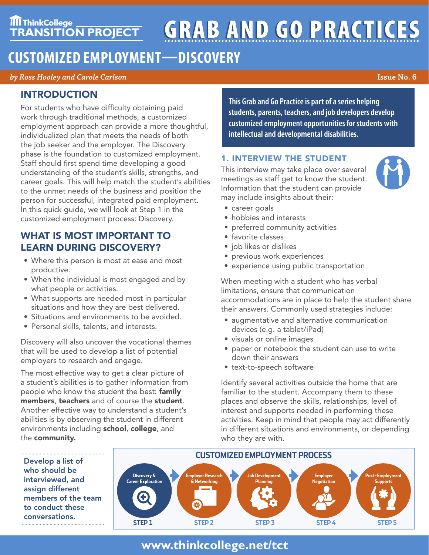# **TIT ThinkCollege**<br>TRANSITION PROJECT **GRAB AND GO PRACTICES**

# **CUSTOMIZED EMPLOYMENT—DISCOVERY**

*by Ross Hooley and Carole Carlson* **Issue No. 6**

# INTRODUCTION

For students who have difficulty obtaining paid work through traditional methods, a customized employment approach can provide a more thoughtful, individualized plan that meets the needs of both the job seeker and the employer. The Discovery phase is the foundation to customized employment. Staff should first spend time developing a good understanding of the student's skills, strengths, and career goals. This will help match the student's abilities to the unmet needs of the business and position the person for successful, integrated paid employment. In this quick guide, we will look at Step 1 in the customized employment process: Discovery.

# WHAT IS MOST IMPORTANT TO LEARN DURING DISCOVERY?

- Where this person is most at ease and most productive.
- When the individual is most engaged and by what people or activities.
- What supports are needed most in particular situations and how they are best delivered.
- Situations and environments to be avoided.
- Personal skills, talents, and interests.

Discovery will also uncover the vocational themes that will be used to develop a list of potential employers to research and engage.

The most effective way to get a clear picture of a student's abilities is to gather information from people who know the student the best: family members, teachers and of course the student. Another effective way to understand a student's abilities is by observing the student in different environments including school, college, and the community.

Develop a list of who should be

assign different

to conduct these conversations.

**This Grab and Go Practice is part of a series helping students, parents, teachers, and job developers develop customized employment opportunities for students with intellectual and developmental disabilities.**

## 1. INTERVIEW THE STUDENT

This interview may take place over several meetings as staff get to know the student. Information that the student can provide may include insights about their:



- career goals
- hobbies and interests
- preferred community activities
- favorite classes
- job likes or dislikes
- previous work experiences
- experience using public transportation

When meeting with a student who has verbal limitations, ensure that communication accommodations are in place to help the student share their answers. Commonly used strategies include:

- augmentative and alternative communication devices (e.g. a tablet/iPad)
- visuals or online images
- paper or notebook the student can use to write down their answers
- text-to-speech software

Identify several activities outside the home that are familiar to the student. Accompany them to these places and observe the skills, relationships, level of interest and supports needed in performing these activities. Keep in mind that people may act differently in different situations and environments, or depending who they are with.



# **www.thinkcollege.net/tct**